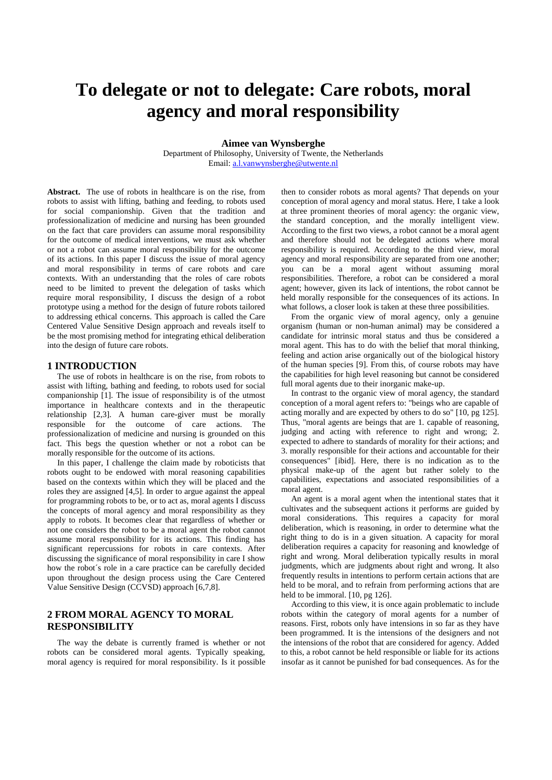# **To delegate or not to delegate: Care robots, moral agency and moral responsibility**

**Aimee van Wynsberghe**

Department of Philosophy, University of Twente, the Netherlands Email: [a.l.vanwynsberghe@utwente.nl](mailto:a.l.vanwynsberghe@utwente.nl)

**Abstract.** The use of robots in healthcare is on the rise, from robots to assist with lifting, bathing and feeding, to robots used for social companionship. Given that the tradition and professionalization of medicine and nursing has been grounded on the fact that care providers can assume moral responsibility for the outcome of medical interventions, we must ask whether or not a robot can assume moral responsibility for the outcome of its actions. In this paper I discuss the issue of moral agency and moral responsibility in terms of care robots and care contexts. With an understanding that the roles of care robots need to be limited to prevent the delegation of tasks which require moral responsibility, I discuss the design of a robot prototype using a method for the design of future robots tailored to addressing ethical concerns. This approach is called the Care Centered Value Sensitive Design approach and reveals itself to be the most promising method for integrating ethical deliberation into the design of future care robots.

#### **1 INTRODUCTION**

The use of robots in healthcare is on the rise, from robots to assist with lifting, bathing and feeding, to robots used for social companionship [1]. The issue of responsibility is of the utmost importance in healthcare contexts and in the therapeutic relationship [2,3]. A human care-giver must be morally responsible for the outcome of care actions. The professionalization of medicine and nursing is grounded on this fact. This begs the question whether or not a robot can be morally responsible for the outcome of its actions.

In this paper, I challenge the claim made by roboticists that robots ought to be endowed with moral reasoning capabilities based on the contexts within which they will be placed and the roles they are assigned [4,5]. In order to argue against the appeal for programming robots to be, or to act as, moral agents I discuss the concepts of moral agency and moral responsibility as they apply to robots. It becomes clear that regardless of whether or not one considers the robot to be a moral agent the robot cannot assume moral responsibility for its actions. This finding has significant repercussions for robots in care contexts. After discussing the significance of moral responsibility in care I show how the robot´s role in a care practice can be carefully decided upon throughout the design process using the Care Centered Value Sensitive Design (CCVSD) approach [6,7,8].

## **2 FROM MORAL AGENCY TO MORAL RESPONSIBILITY**

The way the debate is currently framed is whether or not robots can be considered moral agents. Typically speaking, moral agency is required for moral responsibility. Is it possible then to consider robots as moral agents? That depends on your conception of moral agency and moral status. Here, I take a look at three prominent theories of moral agency: the organic view, the standard conception, and the morally intelligent view. According to the first two views, a robot cannot be a moral agent and therefore should not be delegated actions where moral responsibility is required. According to the third view, moral agency and moral responsibility are separated from one another; you can be a moral agent without assuming moral responsibilities. Therefore, a robot can be considered a moral agent; however, given its lack of intentions, the robot cannot be held morally responsible for the consequences of its actions. In what follows, a closer look is taken at these three possibilities.

From the organic view of moral agency, only a genuine organism (human or non-human animal) may be considered a candidate for intrinsic moral status and thus be considered a moral agent. This has to do with the belief that moral thinking, feeling and action arise organically out of the biological history of the human species [9]. From this, of course robots may have the capabilities for high level reasoning but cannot be considered full moral agents due to their inorganic make-up.

In contrast to the organic view of moral agency, the standard conception of a moral agent refers to: "beings who are capable of acting morally and are expected by others to do so" [10, pg 125]. Thus, "moral agents are beings that are 1. capable of reasoning, judging and acting with reference to right and wrong; 2. expected to adhere to standards of morality for their actions; and 3. morally responsible for their actions and accountable for their consequences" [ibid]. Here, there is no indication as to the physical make-up of the agent but rather solely to the capabilities, expectations and associated responsibilities of a moral agent.

An agent is a moral agent when the intentional states that it cultivates and the subsequent actions it performs are guided by moral considerations. This requires a capacity for moral deliberation, which is reasoning, in order to determine what the right thing to do is in a given situation. A capacity for moral deliberation requires a capacity for reasoning and knowledge of right and wrong. Moral deliberation typically results in moral judgments, which are judgments about right and wrong. It also frequently results in intentions to perform certain actions that are held to be moral, and to refrain from performing actions that are held to be immoral. [10, pg 126].

According to this view, it is once again problematic to include robots within the category of moral agents for a number of reasons. First, robots only have intensions in so far as they have been programmed. It is the intensions of the designers and not the intensions of the robot that are considered for agency. Added to this, a robot cannot be held responsible or liable for its actions insofar as it cannot be punished for bad consequences. As for the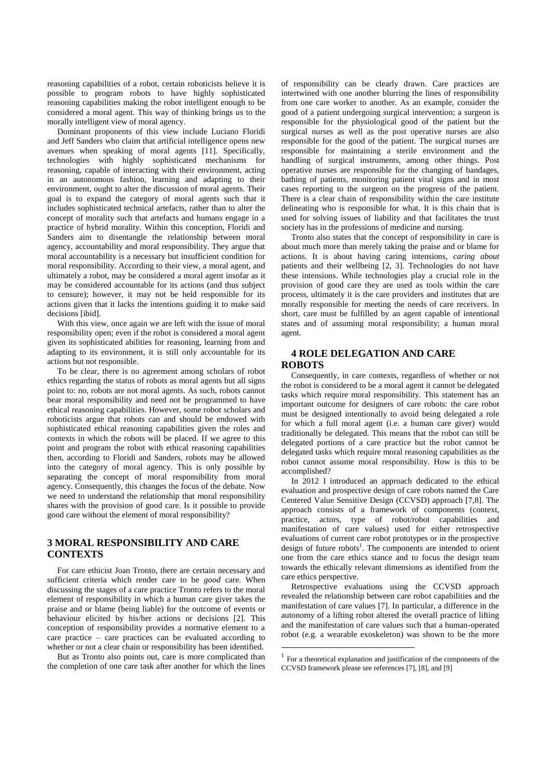reasoning capabilities of a robot, certain roboticists believe it is possible to program robots to have highly sophisticated reasoning capabilities making the robot intelligent enough to be considered a moral agent. This way of thinking brings us to the morally intelligent view of moral agency.

Dominant proponents of this view include Luciano Floridi and Jeff Sanders who claim that artificial intelligence opens new avenues when speaking of moral agents [11]. Specifically, technologies with highly sophisticated mechanisms for reasoning, capable of interacting with their environment, acting in an autonomous fashion, learning and adapting to their environment, ought to alter the discussion of moral agents. Their goal is to expand the category of moral agents such that it includes sophisticated technical artefacts, rather than to alter the concept of morality such that artefacts and humans engage in a practice of hybrid morality. Within this conception, Floridi and Sanders aim to disentangle the relationship between moral agency, accountability and moral responsibility. They argue that moral accountability is a necessary but insufficient condition for moral responsibility. According to their view, a moral agent, and ultimately a robot, may be considered a moral agent insofar as it may be considered accountable for its actions (and thus subject to censure); however, it may not be held responsible for its actions given that it lacks the intentions guiding it to make said decisions [ibid].

With this view, once again we are left with the issue of moral responsibility open; even if the robot is considered a moral agent given its sophisticated abilities for reasoning, learning from and adapting to its environment, it is still only accountable for its actions but not responsible.

To be clear, there is no agreement among scholars of robot ethics regarding the status of robots as moral agents but all signs point to: no, robots are not moral agents. As such, robots cannot bear moral responsibility and need not be programmed to have ethical reasoning capabilities. However, some robot scholars and roboticists argue that robots can and should be endowed with sophisticated ethical reasoning capabilities given the roles and contexts in which the robots will be placed. If we agree to this point and program the robot with ethical reasoning capabilities then, according to Floridi and Sanders, robots may be allowed into the category of moral agency. This is only possible by separating the concept of moral responsibility from moral agency. Consequently, this changes the focus of the debate. Now we need to understand the relationship that moral responsibility shares with the provision of good care. Is it possible to provide good care without the element of moral responsibility?

## **3 MORAL RESPONSIBILITY AND CARE CONTEXTS**

For care ethicist Joan Tronto, there are certain necessary and sufficient criteria which render care to be *good* care. When discussing the stages of a care practice Tronto refers to the moral element of responsibility in which a human care giver takes the praise and or blame (being liable) for the outcome of events or behaviour elicited by his/her actions or decisions [2]. This conception of responsibility provides a normative element to a care practice – care practices can be evaluated according to whether or not a clear chain or responsibility has been identified.

But as Tronto also points out, care is more complicated than the completion of one care task after another for which the lines

of responsibility can be clearly drawn. Care practices are intertwined with one another blurring the lines of responsibility from one care worker to another. As an example, consider the good of a patient undergoing surgical intervention; a surgeon is responsible for the physiological good of the patient but the surgical nurses as well as the post operative nurses are also responsible for the good of the patient. The surgical nurses are responsible for maintaining a sterile environment and the handling of surgical instruments, among other things. Post operative nurses are responsible for the changing of bandages, bathing of patients, monitoring patient vital signs and in most cases reporting to the surgeon on the progress of the patient. There is a clear chain of responsibility within the care institute delineating who is responsible for what. It is this chain that is used for solving issues of liability and that facilitates the trust society has in the professions of medicine and nursing.

Tronto also states that the concept of responsibility in care is about much more than merely taking the praise and or blame for actions. It is about having caring intensions, *caring about* patients and their wellbeing [2, 3]. Technologies do not have these intensions. While technologies play a crucial role in the provision of good care they are used as tools within the care process, ultimately it is the care providers and institutes that are morally responsible for meeting the needs of care receivers. In short, care must be fulfilled by an agent capable of intentional states and of assuming moral responsibility; a human moral agent.

## **4 ROLE DELEGATION AND CARE ROBOTS**

Consequently, in care contexts, regardless of whether or not the robot is considered to be a moral agent it cannot be delegated tasks which require moral responsibility. This statement has an important outcome for designers of care robots: the care robot must be designed intentionally to avoid being delegated a role for which a full moral agent (i.e. a human care giver) would traditionally be delegated. This means that the robot can still be delegated portions of a care practice but the robot cannot be delegated tasks which require moral reasoning capabilities as the robot cannot assume moral responsibility. How is this to be accomplished?

In 2012 I introduced an approach dedicated to the ethical evaluation and prospective design of care robots named the Care Centered Value Sensitive Design (CCVSD) approach [7,8]. The approach consists of a framework of components (context, practice, actors, type of robot/robot capabilities and manifestation of care values) used for either retrospective evaluations of current care robot prototypes or in the prospective design of future robots<sup>1</sup>. The components are intended to orient one from the care ethics stance and to focus the design team towards the ethically relevant dimensions as identified from the care ethics perspective.

Retrospective evaluations using the CCVSD approach revealed the relationship between care robot capabilities and the manifestation of care values [7]. In particular, a difference in the autonomy of a lifting robot altered the overall practice of lifting and the manifestation of care values such that a human-operated robot (e.g. a wearable exoskeleton) was shown to be the more

<u>.</u>

<sup>1</sup> For a theoretical explanation and justification of the components of the CCVSD framework please see references [7], [8], and [9]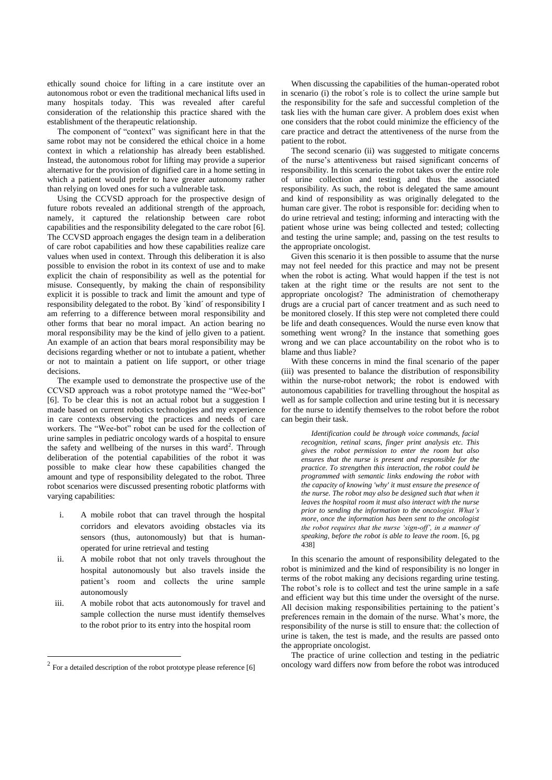ethically sound choice for lifting in a care institute over an autonomous robot or even the traditional mechanical lifts used in many hospitals today. This was revealed after careful consideration of the relationship this practice shared with the establishment of the therapeutic relationship.

The component of "context" was significant here in that the same robot may not be considered the ethical choice in a home context in which a relationship has already been established. Instead, the autonomous robot for lifting may provide a superior alternative for the provision of dignified care in a home setting in which a patient would prefer to have greater autonomy rather than relying on loved ones for such a vulnerable task.

Using the CCVSD approach for the prospective design of future robots revealed an additional strength of the approach, namely, it captured the relationship between care robot capabilities and the responsibility delegated to the care robot [6]. The CCVSD approach engages the design team in a deliberation of care robot capabilities and how these capabilities realize care values when used in context. Through this deliberation it is also possible to envision the robot in its context of use and to make explicit the chain of responsibility as well as the potential for misuse. Consequently, by making the chain of responsibility explicit it is possible to track and limit the amount and type of responsibility delegated to the robot. By `kind´ of responsibility I am referring to a difference between moral responsibility and other forms that bear no moral impact. An action bearing no moral responsibility may be the kind of jello given to a patient. An example of an action that bears moral responsibility may be decisions regarding whether or not to intubate a patient, whether or not to maintain a patient on life support, or other triage decisions.

The example used to demonstrate the prospective use of the CCVSD approach was a robot prototype named the "Wee-bot" [6]. To be clear this is not an actual robot but a suggestion I made based on current robotics technologies and my experience in care contexts observing the practices and needs of care workers. The "Wee-bot" robot can be used for the collection of urine samples in pediatric oncology wards of a hospital to ensure the safety and wellbeing of the nurses in this ward<sup>2</sup>. Through deliberation of the potential capabilities of the robot it was possible to make clear how these capabilities changed the amount and type of responsibility delegated to the robot. Three robot scenarios were discussed presenting robotic platforms with varying capabilities:

- i. A mobile robot that can travel through the hospital corridors and elevators avoiding obstacles via its sensors (thus, autonomously) but that is humanoperated for urine retrieval and testing
- ii. A mobile robot that not only travels throughout the hospital autonomously but also travels inside the patient's room and collects the urine sample autonomously
- iii. A mobile robot that acts autonomously for travel and sample collection the nurse must identify themselves to the robot prior to its entry into the hospital room

1

When discussing the capabilities of the human-operated robot in scenario (i) the robot´s role is to collect the urine sample but the responsibility for the safe and successful completion of the task lies with the human care giver. A problem does exist when one considers that the robot could minimize the efficiency of the care practice and detract the attentiveness of the nurse from the patient to the robot.

The second scenario (ii) was suggested to mitigate concerns of the nurse's attentiveness but raised significant concerns of responsibility. In this scenario the robot takes over the entire role of urine collection and testing and thus the associated responsibility. As such, the robot is delegated the same amount and kind of responsibility as was originally delegated to the human care giver. The robot is responsible for: deciding when to do urine retrieval and testing; informing and interacting with the patient whose urine was being collected and tested; collecting and testing the urine sample; and, passing on the test results to the appropriate oncologist.

Given this scenario it is then possible to assume that the nurse may not feel needed for this practice and may not be present when the robot is acting. What would happen if the test is not taken at the right time or the results are not sent to the appropriate oncologist? The administration of chemotherapy drugs are a crucial part of cancer treatment and as such need to be monitored closely. If this step were not completed there could be life and death consequences. Would the nurse even know that something went wrong? In the instance that something goes wrong and we can place accountability on the robot who is to blame and thus liable?

With these concerns in mind the final scenario of the paper (iii) was presented to balance the distribution of responsibility within the nurse-robot network; the robot is endowed with autonomous capabilities for travelling throughout the hospital as well as for sample collection and urine testing but it is necessary for the nurse to identify themselves to the robot before the robot can begin their task.

*Identification could be through voice commands, facial recognition, retinal scans, finger print analysis etc. This gives the robot permission to enter the room but also ensures that the nurse is present and responsible for the practice. To strengthen this interaction, the robot could be programmed with semantic links endowing the robot with the capacity of knowing 'why' it must ensure the presence of the nurse. The robot may also be designed such that when it leaves the hospital room it must also interact with the nurse prior to sending the information to the oncologist. What's more, once the information has been sent to the oncologist the robot requires that the nurse 'sign-off', in a manner of speaking, before the robot is able to leave the room*. [6, pg 438]

In this scenario the amount of responsibility delegated to the robot is minimized and the kind of responsibility is no longer in terms of the robot making any decisions regarding urine testing. The robot's role is to collect and test the urine sample in a safe and efficient way but this time under the oversight of the nurse. All decision making responsibilities pertaining to the patient's preferences remain in the domain of the nurse. What's more, the responsibility of the nurse is still to ensure that: the collection of urine is taken, the test is made, and the results are passed onto the appropriate oncologist.

The practice of urine collection and testing in the pediatric oncology ward differs now from before the robot was introduced

 $2^{2}$  For a detailed description of the robot prototype please reference [6]